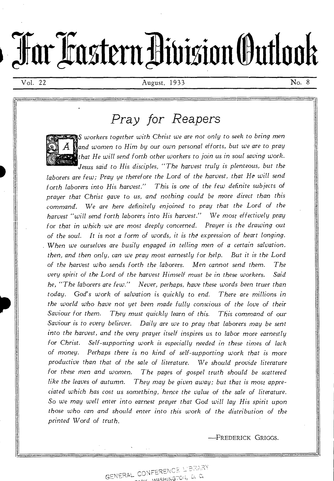# **TellarTaistenailisioninatiooh**

Vol. 22 August, 1933 No. 8

# *Pray for Reapers*

*S workers together with Christ we are not only to seek to bring men and women to Him by* our own personal *efforts, but we are* to *pray that He will send forth other workers to join us in soul saving work. Jesus said to His disciples, "The harvest truly is plenteous, but the* 

*laborers are few; Pray ye therefore the Lord of the harvest, that He will send forth laborers into His harvest." This is* one *of the few definite subjects of prayer that Christ gave to us, and nothing could be more direct than this command. We are here definitely enjoined to pray that the Lord of the harvest "will send forth laborers into His harvest." We most effectively pray*  for *that in which we are most deeply concerned. Prayer is the drawing out of the soul. It is not a form of words, it is the expression of heart longing. When we ourselves are busily engaged in telling men of a certain salvation, then, and then only, can we pray most earnestly for help. But it is the Lord of the harvest who sends forth the laborers. Men cannot send them. The very spirit of the Lord of the harvest Himself must be in these workers. Said he, "The laborers are few." Never, perhaps, have these words been truer than today. God's work of salvation is quickly to end. There are millions in the world who have not yet been made fully conscious of the love of their Saviour for them. They must quickly learn of this. This command of our Saviour is to every believer. Daily are we to pray that laborers may be sent into the harvest, and the very prayer itself* inspires us to *labor* more *earnestly for Christ. Self-supporting work is especially needed in these times of lack of money. Perhaps there is no kind of self-supporting work that is more productive than that of the sale of literature. We should provide literature for these men and women. The pages of gospel truth should be scattered like the leaves of autumn. They may be given away; but that is most appreciated which has cost us something, hence the value of the sale of literature. So we may well enter into earnest prayer that* God *will lay His spirit upon those who can and should enter into this work of the distribution of the printed Word of truth.* 

—FREDERICK GRIGGS.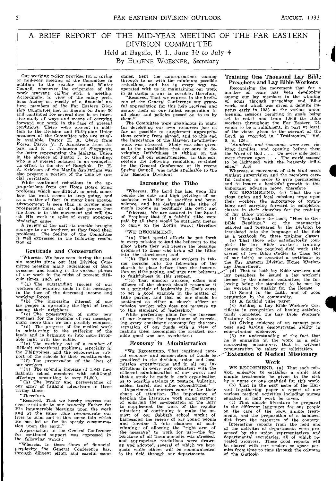# A BRIEF REPORT OF THE MID-YEAR MEETING OF THE FAR EASTERN DIVISION COMMITTEE Held at Baguio, P. I., June 30 to July 4 By EUGENE WOESNER, Secretary

Our working policy provides for a spring or mid-year *meeting* of the Committee in standard to the regular annual Winter<br>Council, whenever the exigencies of the work warrant calling such a meeting.<br>Accordingly, in view of the many problems facing us, mostly of a financial nature, members of the Far Easte and continued for several days in an intensive study of ways and means of *carrying*  forward our work in the face of present conditions. There were present in addition to the Division and Philippine Union members of the Committee who are usually available, Pastor H. A. Oberg from James, Rastor V. T. Armstrong from James, and E J. Johanson of Singapore, the latter representing the Malayan Union in the absence of Pastor J. G. Erickson of the Manila Sanitarium was also present a portion of the time by spe-cial invitation.

While continued reductions in the appropriations from our Home Board bring<br>problems which are difficult to meet, some-<br>how the work seems to keep going, and<br>as a matter of fact, in many lines greater<br>advancement is seen than in former more prosperous times, all of which proves that the Lord is in this movement and will finish His work in spite of every apparent

hindering cause. A review *of* the *past* six months brought courage to our brethren as they faced their problems. The feeling of the Committee is well expressed in the *following* resolu-tion of

#### Gratitude and Consecration

"Whereas, We have seen during the past six months since our last Division Committee meeting many indications of God's presence and leading in the various phases of our work in the midst of present difficult times, such as:

"(a) The outstanding success of our workers in winning souls to this message, in the face of the decreased income and

working forces. "(b) The increasing interest of our

lay people in spreading the light of truth<br>among their energhbors.<br> $\alpha^{(c)}$  the presentation of many new openings for the teaching of our message,<br> $\alpha^{(c)}$  of the presentation of many new many many many many the progress

our workers.<br>" $(g)$  The s The sp'endid increase of 1.843 new Sabbath school members with additional<br>offerings amounting to over **P1,800**.<br>"(h) The loyalty and perseverance of

of the fingle amountains to the collection of the contract of the column army of faithful colporteurs in these trying times.

"Therefore, "Resolved, That we hereby express our deep gratitude to our heavenly Father for His innumerable blessings upon the work and at the same time reconsecrate our lives to Him and to this cause into which He has led us for its speedy consummation where the conservation of the contenuous conservation of the form continued support was expressed in

"Whereas, In these times of financial perplexity the General Conference has, through diligent effort and careful econ-

omies, kept the appropriations coming through to us with the minimum possible reductions, and has in every way co-operated with us in maintaining our work

in as strong a way as possible; therefore, "Resolved, That we express to the breftherence our grate-<br>ren of the General Conference our grate-<br>ren of the General Conference our grate-<br>ful appreciation for this help received them."

The Committee were unanimous in plans for developing our own resources just as far as possible to supplement appropriations coming from abroad, and to this end<br>the importance of the Harvest Invatherino<br>work was stressed. Study was also given<br>as to the possibilities that are ours in de-<br>veloping faithfulness in tithing on the<br>part of all o Spring Council, was made applicable to the Far Eastern Division:

#### Increasing the Tithe

"Whereas, The Lord has laid upon His people the duty and high privilege of as-sociation with Him in sacrifice and bene-volence, and has designated the tithe of

men's income as peculiarly His own; and "Whereas, We are assured in the Spirit of Prophecy that if a faithful tithe were paid by all there would be sufficient means to carry on the Lord's work; therefore

"WE RECOMMEND,

"(a) That *special efforts* be put forth in every mission to lead the believers to the place where they will receive the blessings promised to those who *bring all* the tithes

into the storehouse; and we write the transfer of the magnetic in taking persons into the fellowship of the church to place before them the instruction on title paying, and urge new believers to faithfulness in this respec

"(c) That mission workers, elders and officers of the church should recognize it as a principle of leadership in God's cause to set a good example in the matter of tithe paying, and that no one should be continued as either a church officer or mission worker who does not measure up to this standard of leadership."

While perfecting plans for the increase of our income, the importance of exercis-<br>ing every consistent economy for the con-<br>servation of our funds with a view of<br>making them accomplish the greatest possible good was not overlooked:

#### *Economy* in Administration

"WE RECOMMEND, That continued 'careful economy and conservation of funds be-<br>practiced in the division, union and local<br>mission organizations and in all our institutions in every way consistent with the efficient administration of our work ; and that a study be made in each organization as to possible savings in postage. bulletins, cables, travel, and other expenditures."

Departmental matters came in for their share of attention. The importance of keeping the literature work going strong ; of enlisting the co-operation of the laity<br>to supplement the work of the regular<br>minister; of continuing to make the ut-<br>minister; of continuing to make the ut-<br>most of our Sabbath school work; of<br>harnessing the energy of portance of all these agencies was stressed, and appropriate resolutions were drawn up and adopted, several of which we here quote while others will be communicated to the field through our departments.

#### Training One Thousand Lay Bible Preachers and Lay Bible Workers

Recognizing the movement that for a number of years has been developing annong our lay members in the winning of souls through preaching and Bible work, and which was given a definite im-<br>petus early in 1933 at the various union<br>biennial sessions resulting in goals being<br>set to enlist and train 1,000 lay Bible<br>workers throughout the Far Eastern Division<br>to be a fulf

9, P. 126: "Hundreds and thousands were seen visiting families, and opening before them the Word of God . . . On every side doors were thrown *open . . .* The world seemed to be lightened with the heavenly influ-ence." And

Whereas, a movement *of this kind* needs vigilant supervision and the members careful training in order to give permanency and to *insure* a healthful growth to this important advance move, therefore

WE RECOMMEND, (a) That the va-rious union and local missions urge upon their workers the importance of organ-izing and carrying forward to completion classes in their churches for the training

of lay Bible workers,<br>
(b) That either the book, "How to Give<br>
(b) That either the book, "How to Give<br>
Bible Readings," or the manuscript<br>
ranslated and prepared by the Division be<br>
translated into the language of the fiel

giving of five Bible studies to those not of our faith) be awarded a certificate by the Far Eastern Division Home Mission-<br>the Far Eastern Division Home Mission-<br>any Department.

 $\sim$  (d) That to both lay Bible workers and lay preachers be issued a lay worker's license by the mission committee, the fol-lowing being the standards to be met by lay workers to qualify for the license. (1) Sound in the faith, and of good

reputation in the community.<br>
(2) A faithful title payer.<br>
(3) Holding a Lay Bible Worker's Certificate in recognition of having satisfactorily completed the Lay Bible Worker's<br>
Training Course.<br>
(4) Giving evidence of an

pose and having demonstrated ability in<br>soul-winning endeavor.<br>(5) An understanding of the fact that<br>he is engaging in the work as a self-<br>supporting missionary, that is, without<br>emuneration by salary or solicitation.<br>Trat

#### Work

WE RECOMMEND, (a) That each mission endeavor to establish a clinic and simple treatments be given to the sick by a nurse or one qualified for this work. (b) That in the next issue of the Harvest Ingathering paper a report of our various medical activities including nurses

engaged in field work be given. (e) That simple literature be prepared in the different languages for our people on the care of the body, simple treat-ments, and the preparation of a balanced

diet from the resources of the country.<br>Interesting reports from the field and<br>of the activities of departments were pre-<br>sented by the union representatives and<br>departmental secretaries, all of which re-<br>vealed progress. of the *Outlook.*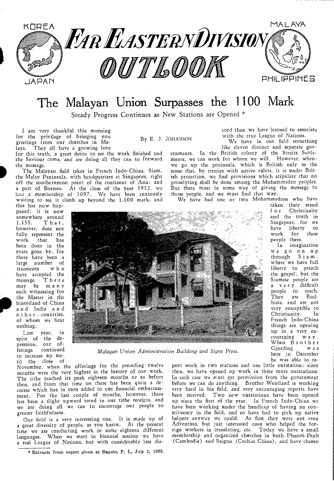

# The Malayan Union Surpasses the 1100 Mark

By E. J. JOHANSON

Steady Progress Continues as New Stations are Opened \*

I am very thankful this morning for the privilege of bringing you greetings from our churches in Malaya. They all have a growing love

for this truth, a great desire to see the work finished and the Saviour come, and are doing all they can to forward the message.

The Malayan field takes in French Indo-China, Siam, the Malay Peninsula, with headquarters at Singapore, right off the southernmost point of the continent of Asia; and a part of Borneo. At the close of the year 1932, we had a membership of 1097. We have been anxiously waiting to see it climb up beyond the 1,100 mark, and cord than we have learned to associate with the true League of Nations.

We have in our field something like eleven distinct and separate gov-

ernments. In the British colony of the Straits Settlements, we can work for whom we will. However, whenwe go up the peninsula, which is British only in the sense that, by treaties with native rulers, it is under British protection, we find provisions which stipulate' that no proselyting shall be done among the Mohammedan peoples. But there must be some way of giving the message to those people, and we must find that way.

We have had one or two Mohammedans who have

this has now happened; it is now somewhere around<br>1,135. That,  $\overline{T}$  h a t, however, does not fully represent the<br>work that has that has been done in the years gone by, for there have been a large number of transients w h o have accepted the message. There may be many such witnessing for the Master in the hinterland of China and India a n d other , countries, of whom we hear nothing.

Last year, in spite of the depression, our of-<br>ferings continued continued to increase up until the close of



*Malayan Union Administration Building and Signs Press.* 

November, when the offerings for the preceding twelve months were the very highest in the history of our work. The tithe reached its peak eighteen months or so before then, and from that time on there has been quite a decrease which has in turn added to our financial embarrassment. For the last couple of months, however, there has been a slight upward trend in our tithe receipts, and we are doing all we can to encourage our people to greater faithfulness.

Our field is a very interesting one. It is made up of a great diversity of people, as you know. At the present time *we* are conducting work in some eighteen different languages. When we meet in biennial session we have a real League of Nations, but with considerably less disport work in two stations and one little outstation; since then, we have opened up work in three more outstations. In each case we must get permission from the government before we can do anything. Brother Wentland is working very hard in his field, and very encouraging reports have been received. Two new outstations have been opened up since the first of the year. In French Indo-China *we*  have been working under the handicap of having no constituency in the field, and so have had to pick up native helpers anyway we could. At first they were not even Adventists, but just interested ones who helped the foreign workers in translating, etc. Today *we* have a small membership and organized churches in both Phnom-Penh (Cambodia) and Saigon (Cochin China), and have chosen

taken their stand<br>for Christianity Christianity and the truth in Singapore, for we<br>have liberty to have liberty to<br>work for these for these

people there. In imagination we go on up through Siam, where we have full liberty to preach the gospel; but the Siamese people are a very difficult people to reach. They are Budhists, and are not very susceptible to<br>Christianity. In Christianity. French Indo-China things are opening up in a very encouraging w a y When Brother<br>Giording was Gjording here in December he was able to re-

<sup>\*</sup> Extracts from report given at Baguio, P. I., July 1, 1933.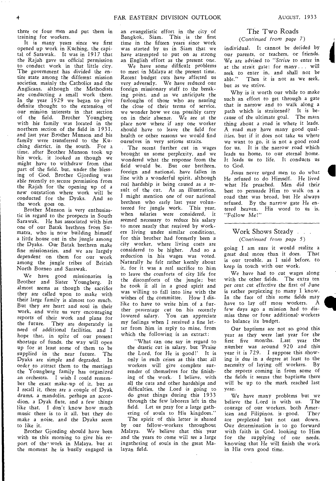three or four men and put them in training for workers.

It is many years since we first opened up work in Kuching, the capital of Sarawak. It was in 1917 that the Rajah gave us official permission to conduct work in that little city. The government has divided the entire state among the different mission societies, mainly the Catholics and the Anglicans, although the Methodists are conducting a small work there. In the year 1929 we began to give definite thought to the extension of our mission interests in that section of the field. Brother Youngberg with his family was located in the northern section of the field in 1931, and last year Brother Munson and his family were transferred to the Kuching district, in the south. For a time, after Brother Munson took up his work, it looked as though we might have to withdraw from that part of the field, but, under the blessing of God, Brother Gjording was able recently to. secure permission from the Rajah for the opening up of a new outstation *where* work will be conducted for the Dyaks. And so the work goes on.

Brother Munson is very enthusiastic in regard to the prospects in South Sarawak. He has associated with him one of our Batak brethren from Sumatra, who is now building himself a little house out in the jungle among the Dyaks. Our Batak brethren make fine missionaries, and *we* are largely dependent on them for our work among the jungle tribes of British North Borneo and Sarawak.

We have good missionaries in Brother and Sister Youngberg. It almost seems as though the sacrifice they are called upon to make with their large family is almost too much. But they are heart and soul in their work, and write us very encouraging reports of their work and plans for the future. They are desperately in need of additional facilities, and I hope that, in spite of our present shortage of funds, the way will open up for at least some of them to be supplied in the near future. The Dyaks are simple and degraded. In order to attract them to the meetings the Youngberg family has organized an orchestra. I wish I could remember the exact make-up of it, but as I recall it, there are a couple of Dyak, drums, a mandolin, perhaps an accordion, a Dyak flute, and a few things like that. I don't know how much music there is to it all, but they do make a noise, and the Dyaks seem to like it.

Brother Gjording should have been with us this morning to give his report of the• work in Malaya, but at the moment he is busily engaged in

an evangelistic effort in the city of Bangkok, Siam. This is the first time in the fifteen years since work was started by us in Siam that we have attempted to put on as strong an English effort as the present one.

We have some difficult problems to meet in Malaya at the present time. Recent budget cuts have affected us very adversely. We have reduced our foreign missionary staff to the breaking point, and as we anticipate the furloughs of those who are nearing the close of their terms of service, we wonder how we can possibly carry on in their absence. We are at the place now where if any one worker should have to leave the field for health or other reasons we would find *ourselves* in very serious straits.

The recent further cut in wages brought us some perplexity, and we wondered what the response from the field would be. But our brethren, foreign and national, have fallen in line with a wonderful spirit, although real hardship is being caused *as* a result of the cut. As an illustration, I might mention one of our national brethren who early last year volunteered for jungle work. This year, when salaries were considered, it seemed necessary to reduce his salary to more nearly that received by workers living under similar conditions, for this brother had formerly been a city worker, where living costs are considered to be higher. And so a reduction in his wages was voted. Naturally he felt rather keenly about it, for it was a real sacrifice to him to *leave* the comforts of *city* life for the discomforts of the jungle; but he took it all in a good spirit and was willing to fall into line with the wishes of the committee. How I dislike to have to write him of a further percentage cut on his recently lowered salary. You can appreciate my feelings when I received a fine letter from him in reply to mine, from which the following is an extract:

"What can one say in regard to the drastic cut in salary, but 'Praise the Lord, for He is good!' It is only in such crises as this that all workers will give complete surrender of themselves for the finishing of the work. I believe, with all the cuts and other hardships and difficulties, the Lord is going to do great things during this 1933 through the few laborers left in the field. Let us pray for a large gathering of souls to His kingdom." The spirit of this letter is shared

by our fellow-workers throughout Malaya. We believe that this year and the years to come will see a large ingathering of souls in the great Malayan field.

## The Two Roads

*(Continued from page 7)* 

individual. It cannot be decided by our parents, or teachers, or friends. We are advised to *"Strive* to enter in at the strait gate: for many . . will *seek* to enter in, and shall not be able." Then it is not as we seek, but as we strive.

Why is it worth our while to make such an effort to get through a gate that is narrow and to walk along a path which is straitened? It is because of the ultimate goal. The main thing about a road is where it leads. A road may have many good qualities, but if it does not take us where we want to go, it is not a good road for us. It is the narrow road which leads us home, to our eternal home. It leads us to life. It conducts us to God.

Jesus never urged men to do what He *refused* to do Himself. He lived what He preached. Men did their best to persuade Him to walk on *a*  road that was broad, but He always refused. By the narrow gate He entered heaven. His word to us is, "Follow Me!"

## Work Shows Steady . . . *(Continued* from *page 5)*

going I am sure it would realize a great deal more than it does. That is our trouble, as I said before, to keep in touch with our work.

We have had to cut wages along with the other fields. The extra ten per cent cut effective the first of June is rather perplexing to many I know. In the face of this some fields may have to lay off more workers, A few days ago a mission had to dismiss three or four additional' workers to balance its budget.

Our baptisms are not so good this year as they were last year for the first five months. Last year the number was around 920 and this year it is 729. I suppose this showing is due in a degree at least to the necessity of laying off workers. By the reports coming in from some of the fields it seems that baptisms there will be up to the mark reached last year.

We have many problems but we<br>jeve the Lord is with us. The believe the Lord is with us. courage of our workers, both Amer-<br>ican and Filipinos, is good. They ican and Filipinos, is good. are perplexed but not cast down. Our determination is to go forward with faith in God, looking to Him for the supplying of our needs, knowing that He will finish the work in His own good time.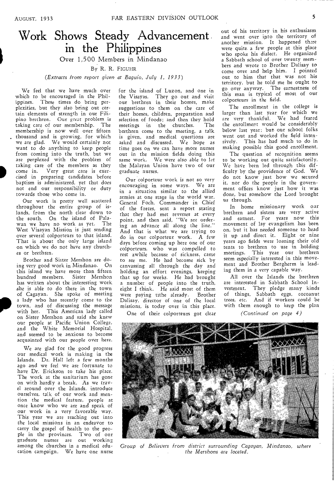# Work Shows Steady Advancement. in the Philippines

Over 1,500 Members in Mindanao

By R. R. FIGUHR

## *(Extracts from report given at Baguio, July 1, 1933)*

We feel that we have much over which to be encouraged in the Philippines. These times do bring perplexities, but they also bring out certain elements of strength in out Filipino brethren. Our great problem is taking care of our membership. The membership is now well over fifteen thousand and is growing, for which we are glad. We would certainly not want to do anything to keep people from coming into the truth, but we are perplexed with the problem of taking care of the members as they come in. Very great care is exercised in preparing candidates before baptism is administered, yet that does not end our responsibility or duty towards those who come in.

Our work is pretty well scattered throughout the entire group of islands, from the north clear down to the south. On the island of Palawan we have no work as yet. The West Visayan Mission is just sending over several colporteurs to that island. That is about the only large island on which we do not have any churches or brethren.

Brother and Sister Mershon are doing very good work in Mindanao. On this island we have more than fifteen hundred members. Sister Mershon has written about the interesting work she is able to do there in the town of Cagayan. She spoke of meeting a lady who has recently come to the town, and of discussing the message with her. This American lady called on Sister Mershon and said she knew our people at Pacific Union College, and the White Memorial Hospital, and seemed to be anxious to become acquainted with our people over here.

We are glad for the good progress our medical work is making in the Islands. Dr. Hall left a few months ago and we feel we are fortunate to have Dr. Erickson to take his place. The work at the sanitarium has gone on with hardly a break. As we travel around over the Islands, introduce ourselves, talk of our work and mention the medical feature, people at once know who we are and speak of our work in a very favorable way. This year we are reaching out into the local missions in an endeavor to carry the gospel of health to the people in the provinces. Two of our graduate nurses are out working among the churches in a medical education campaign. We have one nurse

for the island of Luzon, and one in the Visayas. They go out and visit our brethren in their homes, make suggestions to them on the care of their homes, children, preparation and selection of foods; and then they hold meetings in the churches. The brethren come to the meeting, a talk is given, and medical questions are asked and discussed. We hope as time goes on we can have more nurses out in the mission fields doing this same work. We were also able to let the Malayan Union have two of our graduate nurses.

Our colporteur work is not so very encouraging in some ways. We are in a situation similar to the allied armies at one stage in the world war. General Foch, Commander in Chief of the forces, sent a report stating that they had met reverses at every point, and then said, "We are ordering an advance all along the line." And that is what we are trying to do in our colporteur work. A few days before coming up here one of our colporteurs, who was compelled to rest awhile because of sickness, came to see me. He had become sick by canvassing all through the day and holding an effort evenings, keeping that up for weeks. He had brought a number of people into the truth, eight I think. He said most of them were paying tithe already. Brother Dalisay, director of one of the local missions, is today over in this place.

One of their colporteurs got clear

out of his territory in his enthusiasm and went over into the territory of another mission. It happened there were quite. a few people at this place who spoke his dialect. He organized a Sabbath school of over twenty members and wrote to Brother Dalisay to come over and help him. I pointed out to him that that was not his territory, but he told me he ought to go over anyway. The earnestness of this man is typical of most of our colporteurs in the field.

The enrollment in the college is larger than last year for which we are very thankful. We had feared the enrollment would be considerably below last year; but our school folks went out and worked the field intensively. This has had much to do in making possible this good enrollment.

The question of recognition seems to be working out quite satisfactorily. We have been led through this difficulty by the providence of God. We do not know just how we secured it, nor do the people in the government offices know just how it was done, but somehow the Lord brought us through.

In home missionary work our brethren and sisters are very active and earnest. For years now this movement of lay evangelism has been on, but it has needed someone to head it up and direct it. Eight or nine years ago fields were loaning their old tents to brethren to use in holding meetings. This year our brethren seem especially interested in this movement and Brother Bergherm is leading them in a very capable way.

All over the Islands the brethren are interested in Sabbath School Investment. They pledge many kinds of things, Sabbath eggs, cocoanut trees, etc. And if workers could be with them enough to keep the plan

*(Continued* on *page 4)* 



*Group of Believers from district surrounding Cagayan, Mindanao, where the Mershons are located.*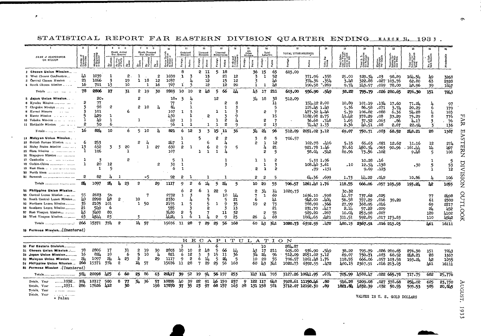# STATISTICAL REPORT FAR EASTERN DIVISION QUARTER ENDING MARCH 31. 1933.

 $\sigma_{\rm{max}}$ 

 $\sim$ 

| 456<br>7B                                                                       |                                |                                          |               |                |                |                |         |                          |                              |        |                             |    |                     |                 |                  |             |                         |           |                              |                  |              |                                   |                                                  |                                    |                                                       |                         |                            |            |                 |
|---------------------------------------------------------------------------------|--------------------------------|------------------------------------------|---------------|----------------|----------------|----------------|---------|--------------------------|------------------------------|--------|-----------------------------|----|---------------------|-----------------|------------------|-------------|-------------------------|-----------|------------------------------|------------------|--------------|-----------------------------------|--------------------------------------------------|------------------------------------|-------------------------------------------------------|-------------------------|----------------------------|------------|-----------------|
|                                                                                 |                                |                                          |               | Memb Added     |                | Memb, Oropped  |         | 10<br>£.                 | Ordained<br>Ministers        |        | 12<br>Licensed<br>Ministers |    | 13<br>Licensed      |                 |                  |             | 16<br>Total<br>Laborers |           | - 17<br>TOTAL YITHE RECEIPTS |                  | -19          | 20                                | 21                                               |                                    | 23                                                    | 24                      |                            |            |                 |
| NAME of CONPERENCE<br>OR MISSION                                                | ত লু,                          |                                          |               | Dur. Quarter   |                | Dur. Quarter   |         |                          |                              |        |                             |    | Missionaries        |                 | Other<br>Workers |             |                         |           |                              |                  |              | Offer En<br>0 Por Gas<br>30<br>30 | øΞ                                               |                                    |                                                       | an<br>Syd               |                            |            |                 |
|                                                                                 | Number<br>Organize<br>Churches | Monoership<br>at Beginning<br>of Quarter | By<br>Saptism | 1.<br>۵Ŝ       | 평              | By<br>Apostosy | àŠ      | Entra<br>Membe<br>Guatte | Poreign                      | Notius | Native                      |    | Native              | Brate<br>Lefter | Foreign          | Native      | Foreign                 | Native    |                              | Native           | Tithe 1      | Total<br>Missa<br>Missa<br>under  | Total S.<br>Contribut<br>(to Fores)<br>Massions) | Kission<br>Offerengs<br>Per Gapita | Total Contri<br>butters for<br>Home Miss<br>sion Werk | Tation<br>Local<br>Work | No. of Sab-<br>bath School | ÷          |                 |
| 1 Chosen Union Mission                                                          |                                |                                          |               |                |                |                |         |                          | 8                            |        | 2 11                        |    | 5.<br>18            |                 |                  | 36          | 15                      | 65        | 603,00                       |                  |              |                                   |                                                  |                                    |                                                       |                         |                            |            |                 |
| 2 West Chosen Conference                                                        | ш                              | 1039                                     | 1             | 2.             | 1              |                | 2       | 1039                     | ı.                           | 3      | 13                          |    | 21                  | 12              |                  | 3           | $\mathbf{1}$            | 52        |                              | 371.96           | -358         | 25.00                             | 329.34                                           | .03                                | 98,89                                                 | 164.54                  | 49                         | 3268       |                 |
| 3 Central Chosen Mission                                                        | 21                             | 1066                                     | 3             | 19             | 1              | 18             | $^{12}$ | 1057                     |                              |        | 12                          |    | 15                  | 12              |                  | 3           |                         | Ŀ6        |                              | 374.36           | 554ء         | 3.48                              | 322.68                                           | .027                               | 103.76                                                | 62.80                   | 63                         | 2328       |                 |
| 4 South Chosen Mission                                                          | 16                             | 701                                      | 13            | 10             |                | $\mathbf{1}$   | 16      | 707                      | -1                           | 3      | 12                          |    | 12                  | 20              |                  | 1           | -1                      | Ŀβ        |                              | 190.58           | - 269        | 9.74                              | 143.57                                           | .019                               | 78.00                                                 | 48.96                   | 39                         | 1647       |                 |
| Totals                                                                          | 78                             | 2806                                     | 17            | 31             |                | 2 19           | 30      | 2803                     | -10                          | 10     | LΒ<br>2                     |    | 66<br>5             | Ш               |                  | 43 17       |                         | 211       | 603,00                       | 936.90           | -549         | 38.22                             | 795.79                                           |                                    | .026 280.65                                           | 276.30                  | 151                        | 7243       |                 |
| 5 Japan Union Mission                                                           |                                | $20 -$                                   |               |                | 2              |                |         | $18*$                    | 3                            |        |                             |    | 12                  |                 |                  | 34          | -18                     | 38        | 512.09                       |                  |              |                                   |                                                  |                                    |                                                       |                         |                            |            |                 |
| 6 Kyushu Mission                                                                | 2                              | 77                                       |               |                |                |                |         | 77                       |                              |        |                             |    | 2                   | 8               |                  |             |                         | 11        |                              | 154,122,00       |              | 10.89                             | 101.19                                           | -134                               | 17,60                                                 | 71.2L                   |                            | 97         |                 |
| 7 Chagoku Mission                                                               |                                | 98<br>101                                | 2             | 6              | 2              | 10             |         | 8h<br>107                |                              | 7      |                             |    | ı<br>1              | 3               |                  |             |                         | 5<br>7    |                              | 125.45 1.49      |              | 5.36                              | 86.58                                            | .071                               | 3.74                                                  | 20.29                   | 6                          | 179        |                 |
| 8 Kansai Mission<br>$\lambda$ . The state<br>9 Kanto Mission<br>in a mark and a |                                | 429                                      | -1            |                |                |                |         | 430                      | 1                            |        |                             |    | -1<br>3             | 3<br>q          |                  |             | $\overline{2}$          | 15        |                              | 71.32 1.46       |              | 5.39                              | 106.82                                           | .088                               | 6.36                                                  | 54.28                   |                            | 103        |                 |
| 10 Tohoku Mission                                                               |                                | J.P                                      | -1            |                | 1              |                |         | -li9                     | 1                            | -1     |                             |    | $\overline{2}$<br>1 |                 |                  |             | 2                       | 7         |                              | 1182.98 2.75     | 36.68.748    | 43.42<br>1.65                     | 378.29                                           | .08<br>.063                        | 37.29                                                 | 75.29                   | 8                          | 776        |                 |
| 11 Hokkaido Mission<br><b>Contractor</b>                                        | 2                              | 50                                       | 6             |                |                |                |         | 56                       | 1                            | 1      |                             | 1  | 2<br>$\mathbf{1}$   | ٩               |                  |             | 2                       | -13       |                              | 74.47 1.33       |              | 2.36                              | 37.32<br>40,51                                   | .08                                | .86<br>2.67                                           | 4.17<br>22.9h           | 3                          | 76<br>136  | ЯĀ              |
|                                                                                 | 16                             | 82L                                      | 10            | 6              |                | 5 10           |         | 821                      | 6                            | -12    | 3                           | 3  | 11                  | 36              |                  |             | 24                      | 96        |                              |                  |              |                                   |                                                  |                                    |                                                       |                         |                            |            |                 |
|                                                                                 |                                |                                          |               |                |                |                |         |                          |                              |        |                             |    | 15                  |                 |                  | 34          |                         |           | 512.09                       | 2051.02 3.12     |              | 69.07                             | 750.71                                           | .083                               | 68.52                                                 | 248.21                  | 28                         | 1367       | EА              |
| 12 Malaysn Union Mission<br>13 British Bornso Mission                           | -6                             | 253                                      |               |                | 2              | 4              |         |                          | 1                            |        | 5                           | 6  | 2<br>2              |                 |                  | 3           | 8                       | -5        | 706.57                       |                  |              |                                   |                                                  |                                    |                                                       |                         |                            |            | ة               |
| 14 Malay States Mission                                                         | 13                             | 632                                      | 3             | 3<br>20        |                | $\mathbf{1}$   | 27      | 247<br>630               | 1<br>$\overline{\mathbf{c}}$ | -1     |                             | 6  | 2<br>٩              | 5               |                  | 2           | -1<br>4                 | -12<br>21 |                              | $102.78$ . 416   |              | 5.15                              | 65.63                                            | .021                               | 12.62                                                 | 11.16                   | 15                         | 274        | Н               |
| 15 Siam Missinn                                                                 |                                | 106                                      |               | -7             |                |                |         | 107                      |                              |        | ٦                           | n. | -7                  |                 |                  |             | 2                       | 5         |                              | 921.78 1.46      | 58.04.542    | 30.61<br>80.96                    | 150.34<br>73.56                                  | .063<br>.102                       | 90.96                                                 | .161.44                 | 1h<br>5                    | J97<br>108 | <b>RRN</b>      |
| 16 Singapore Mission                                                            |                                |                                          |               |                |                |                |         |                          |                              |        |                             |    |                     |                 |                  |             |                         |           |                              |                  |              |                                   |                                                  |                                    |                                                       | 9.48                    |                            |            |                 |
| 17 Cambodia                                                                     | -1                             | 3                                        |               | 2              |                |                |         | 5                        | -1                           |        |                             |    | -1                  |                 |                  | 1           | -1                      | 2         |                              |                  | 5.33 1.06    |                                   | 10.28                                            | -16                                |                                                       |                         |                            | 5          |                 |
|                                                                                 | ı                              | 20                                       | 12            |                |                |                | 2       | 30                       | $\mathbf{1}$                 |        |                             |    | 3                   |                 |                  |             | ı                       | 3         |                              | 108.40 3.61      |              | .10                               | 12.34                                            | .138                               |                                                       | .30                     |                            | 53         |                 |
| 19 East Siam                                                                    |                                | 1                                        | 5             |                |                |                |         | 6                        | $\mathbf{1}$                 |        |                             |    |                     |                 |                  | 2           | $\mathbf{I}$            | 2         |                              |                  | $.79$ $.131$ |                                   | 9.69                                             | .123                               |                                                       |                         | ı                          | 12         |                 |
|                                                                                 |                                |                                          |               |                |                |                |         |                          |                              |        |                             |    |                     |                 |                  |             |                         |           |                              |                  |              |                                   |                                                  |                                    |                                                       |                         |                            |            |                 |
|                                                                                 | 2                              | 82                                       | h             | $\overline{1}$ |                | -5             |         | 92                       | 2                            | -1     |                             | 1  | 1                   |                 |                  | 2           | $\mathbf{c}$            | 5         |                              |                  | 64.36.699    | 1.73                              | 44.22                                            | 20م.                               |                                                       | 10,86                   |                            | 106        |                 |
|                                                                                 | 2Ŀ                             | 1097                                     | 24            | ħ<br>23        | $\overline{2}$ |                | 29      | 1117                     | 9                            | 2      | 14<br>6                     |    | 24<br>5             | 5               |                  | 10 20       |                         | 55        | 706.57                       | 1261.48 1.76     |              | 118.55                            | 666.06                                           |                                    | -057 103.58                                           | 193.24                  | Ł2                         | 1055       | <b>NOISIAID</b> |
| <b>22 Philippine Union Mission</b>                                              |                                |                                          |               |                |                |                |         |                          | ь                            | 2      | 6                           | ı  | 55<br>9             |                 |                  | S.          | 34                      | 14        | 3020.73                      |                  |              | 30.32                             |                                                  |                                    |                                                       |                         |                            |            |                 |
| 23 Central Luzen Mission                                                        | 55                             | 2683                                     | 56            |                |                | 7              |         | 2732                     | -1                           |        |                             | 5  | 10                  |                 |                  |             | $\mathbf{1}$            | 69        |                              | 1636.10          | .598         | 41.57                             | 737.62                                           | .025                               |                                                       |                         | 77                         | 2.98       |                 |
| 24 South Central Luzon Mission                                                  | 49                             | 2290                                     | LO.           | 2              | 10             |                |         | 2330                     |                              |        |                             |    | 5                   | 21              |                  | 6           |                         | ш         |                              | 912.00           | -404         | 56.58                             | 357.29                                           | .016                               | 39,20                                                 |                         | 61                         | 2300       |                 |
| 25 Northarn Lazon Mission                                                       | 35                             | 2105                                     | 101           |                |                | 1 50           |         | 2155                     | 1                            |        |                             |    | 9<br>-1             | 35              |                  | 19          | 2                       | 73        |                              | 788.90           | 366ء         | 27.99                             | 368.95                                           | 016ء                               |                                                       |                         | 69                         | 2217       |                 |
| 26 Southern Luzon Mission                                                       | 21                             | 519                                      | 6             |                |                |                |         | 555                      |                              |        |                             |    | -3                  | 13              |                  |             |                         | 21        |                              | 231.70           | 107ء         | 2.LL                              | 57.22                                            | .009                               |                                                       |                         | 24                         | 452        |                 |
| 27 East Visayan Mission                                                         | Ŀ3<br>63                       | 3400<br>4344                             | 80            |                |                |                |         | 3480<br>ىنتىلا           | 2                            |        |                             |    | 11                  | 32              |                  |             | s                       | 55        |                              | 929.20           | -267         | 10.04                             | 253.98                                           | .007                               |                                                       |                         | 120                        | 4102       | OUTLOOK         |
| 28 West Visayan Mission                                                         |                                |                                          | 83            |                |                |                |         |                          | 1                            | 6      | 1                           | л  | 2<br>9              | 23              |                  | 26          | ۱,                      | 68        |                              | 1864.65          | 21ء،         | 311,51                            | 592.85                                           |                                    | .017 173.83                                           |                         | 110                        | عنازبا     |                 |
|                                                                                 |                                | 15371                                    | 374           | 2              |                | 24 57          |         | 15676                    | 11                           | 28     | $\mathbf{7}$<br>29          |    | 56<br>25            | 168             |                  | 60 13       |                         | 弘1        | 1020,73                      | 6392.55          | .472         | 180.15                            | 2367.91                                          |                                    | .016 213.03                                           |                         | 461                        | 16111      |                 |
| 29 Formosa Mission(Ilnantered)                                                  |                                |                                          |               |                |                |                |         |                          |                              |        |                             |    |                     |                 |                  |             |                         |           |                              |                  |              |                                   |                                                  |                                    |                                                       |                         |                            |            |                 |
|                                                                                 |                                |                                          |               |                |                |                |         |                          |                              |        | R E C A                     |    | $\mathbf{P}$<br>-1  | $\mathbf{T}$    |                  |             |                         |           | ULATION                      |                  |              |                                   |                                                  |                                    |                                                       |                         |                            |            |                 |
| Far Eastern Division<br>30                                                      |                                |                                          |               |                |                |                |         |                          |                              |        |                             |    |                     |                 |                  |             | 10                      |           | 264.67                       |                  |              |                                   |                                                  |                                    |                                                       |                         |                            |            |                 |
| Chosen Union Mission                                                            | 78                             | 2806                                     | 17            | 31             | 2              | -19            | 30      | 2603                     | 10                           | -10    | 2<br>Łδ                     |    | 5<br>66             |                 |                  | 43          | $\overline{17}$         | 211       | 603.00                       | 936.90.549       |              | 38.22                             | 795.79                                           |                                    | .026 280.65                                           | 276.30                  | 151                        | 7243       |                 |
| Japan Union Mission<br>32                                                       | -16                            | 824                                      | 10            | 6              | 5.             | 10             | -la     | 821                      | 6                            | 12     | 3                           | -3 | 15<br>11            | 36              |                  | 34          | 21                      | 96        | 512.09                       | 2051.02 3.12     |              | 69.07                             | 750.71                                           | .083                               | 68.52                                                 | 248.21                  | 28                         | 1367       |                 |
| Malayan Union Mission                                                           | 24                             | 1097                                     | 24            | 23<br>4        | 2              |                | 29      | 1117                     | 9                            | 2      | 6<br>14                     |    | 24<br>-5            |                 |                  | 10          | 20                      | 55        | 706.57                       | 1261.48 1.76     |              | 118.55                            | 666.06                                           |                                    | .057 103.58                                           | 193.24                  | L2                         | 1055       |                 |
| 34 Philippine Union Mission                                                     | 266                            | 15371                                    | 374           | 2              | ш.             | 57             |         | 15676                    | -11                          | 28     | 29<br>7                     |    | 25<br>56            | 163             |                  | 60          | Ŀ3                      | 341       | 1020.73                      | 6392.55          | - 172        | 480.15                            | 2367.91                                          |                                    | .016 213.03                                           |                         | 161                        | 16111      |                 |
| 85 Formosa Mission .(Unentered)                                                 |                                |                                          |               |                |                |                |         |                          |                              |        |                             |    |                     |                 |                  |             |                         |           |                              |                  |              |                                   |                                                  |                                    |                                                       |                         |                            |            |                 |
|                                                                                 | 364                            | 20098                                    | 425           | 6<br>-60       | 23             | -86            | 63      | 20417                    | 39                           | 52     | - 19<br>94                  |    | 56 157              | 253             |                  | 147 114 703 |                         |           |                              | 3127.26 10641.95 | -674         | 705.99                            | 4580.17                                          |                                    | .022 665.78                                           | 717.75                  | 682                        | 25,776     |                 |
| 1932<br>Totals, Year                                                            | 304                            | 18317                                    | 580           | 8<br>-77       | 34             | - 36           | 57      | 18855                    | 40                           | 39     | జ<br>91                     | 46 | 159                 | 237             | 9                | 122 117     |                         | 648       |                              | 3928.61 11150.h6 | 8٥.          | 916.28                            | 5209.08                                          |                                    | $.027$ 378.68                                         | 254.02                  | 625                        | 23,730     |                 |
|                                                                                 |                                | 17626                                    | 412           | 30             |                |                | 198     | 17870                    | 37                           | 35     | 97<br>23                    |    | 68 157              | 163             | 28               | 131 158     |                         | 581       |                              | 3712.07 12192.30 | .89          | 1821.84                           | 4832.39                                          | .032                               | - 50.55                                               | 595.53                  | 585                        | 20,645     |                 |
| $1931$<br>Totals, Year                                                          | 286                            |                                          |               |                |                |                |         |                          |                              |        |                             |    |                     |                 |                  |             |                         |           |                              |                  |              |                                   |                                                  |                                    |                                                       |                         |                            |            |                 |
| Totals, Year<br>a mar sama                                                      |                                |                                          |               |                |                |                |         |                          |                              |        |                             |    |                     |                 |                  |             |                         |           |                              |                  |              |                                   |                                                  |                                    |                                                       |                         |                            |            |                 |
| Totals, Year<br>a concernance and<br>* Palau                                    |                                |                                          |               |                |                |                |         |                          |                              |        |                             |    |                     |                 |                  |             |                         |           |                              |                  |              |                                   | VALUES IN U. S. GOLD DOLLARS                     |                                    |                                                       |                         |                            |            | August          |

 $\sim$ 

**LAI**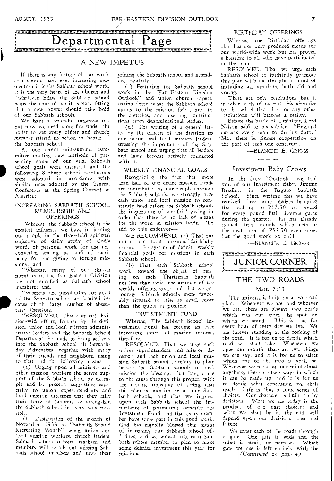# BIRTHDAY OFFERINGS

# Departmental Page

# A NEW IMPETUS

If there is any feature of our work that should have ever increasing momentum it is the Sabbath school work. It is the very heart of the church and "whatever helps the Sabbath school helps the church" so it is very fitting that a new power should take hold of our Sabbath schools.

We have a splendid organization, but now we need more fire under the boiler to get every officer and church member stirred to action in behalf of the Sabbath school.

At our recent mid-summer committee meeting new methods of presenting some of our vital Sabbath school goals were discussed and the following Sabbath school resolutions were adopted in accordance with similar ones adopted by the General Conference at the Spring Council in America:

#### INCREASING SABBATH SCHOOL MEMBERSHIP AND OFFERINGS

"Whereas, the Sabbath school is the greatest influence we have in leading our people in the three-fold spiritual objective of daily study of God's word, of personal work for the unconverted among us, and of sacrificing for and giving to foreign missions; and,

"Whereas, many of our church members in the Far Eastern Division are not enrolled as Sabbath school members; and,

"Whereas, the possibilities for good of the Sabbath school are limited because of the large number of absentees; therefore,

"RESOLVED, That a special division-wide effort, fostered by the division, union and local mission administrative leaders and the, Sabbath School Department, be made to bring actively into the Sabbath school all Seventhday Adventists, together with many of their friends and neighbors, using to that end the following means:

(a) Urging upon all ministers and other mission workers the active support of the Sabbath school by example and by precept, suggesting especially to union superintendents and local mission directors that they rally their force of laborers to strengthen the Sabbath school in every way possible.

(b) Designation of the month of November, 1933, as "Sabbath School Recruiting Month" when union and local mission workers, church leaders, Sabbath school officers, teachers, and members will search out missing Sabbath school members and urge their joining the Sabbath school and attending regularly.

(c) Featuring the Sabbath school work in the "Far Eastern Division Outlook" and union church papers, setting forth what the Sabbath school means to the mission fields, and to the churches, and inserting contributions from denominational leaders.

(d) The writing of a general letter by the officers of the division to our union and local mission leaders, stressing the importance of the Sabbath school and urging that all leaders and laity become actively connected with it.

#### WEEKLY FINANCIAL GOALS

Recognizing the fact that more than half of our entire mission funds are contributed by our people through the Sabbath schools, we strongly urge each union and local mission to constantly hold before the Sabbath schools the importance of sacrificial giving in order that there be no lack of means for the work in mission lands. To add to this endeavor—

WE RECOMMEND, (a) That our union and local missions faithfully promote the system of definite weekly financial goals for missions in each Sabbath school.

(b) That each Sabbath school work toward the object of raising on each Thirteenth Sabbath not less than twice the amount of the weekly offering goal; and that we encourage Sabbath schools more favorably situated to raise as much more than the quota as possible.

### INVESTMENT FUND

Whereas, The Sabbath School Investment Fund has become an ever increasing source of mission income, therefore,

RESOLVED, That we urge each union superintendent and mission director, and each union and local mission Sabbath school secretary to place before the Sabbath schools in each mission the blessings that have come to the cause through this project, with the definite objective of seeing that this plan is launched in all our Sabbath schools, and that we impress upon each Sabbath school the importance of promoting earnestly the Investment Fund, and that every member have some part in this good work. God has signally blessed this means of increasing our Sabbath school of ferings, and we would urge each Sabbath school member to plan to make some definite investment this year for missions.

Whereas, the Birthday offerings plan has not only produced means for our world-wide work but has proved a blessing to all who have participated in the plan,

RESOLVED, That we urge each Sabbath school to faithfully promote this plan with the thought in mind of including all members, both old and young.

These are only resolutions but it is when each of us puts his shoulder to the wheel that these or any other resolutions will become a reality.

Before the battle of Trafalgar, Lord Nelson said to his soldiers, "England expects every man to do his duty." May there be sincere cooperation on the part of each one concerned.

—BLANCHE E. GRIGGS.

## Investment Baby Grows

In the July "Outlook" we told you of our Investment Baby, Jimmie Bradley, in the Baguio Sabbath School. Since writing this we have received three more pledges bringing the total up to P17.50 per pound for every pound little Jimmie gains during the quarter. He has already gained three pounds which nets us the neat sum of  $P52.50$  even now. Let the good work go on!!

—BLANCHE, E. GRIGGS.

<u>paramonia maramonia momentumo menti</u> JUNIOR CORNER

# THE TWO ROADS

## Matt. 7:13

The universe is built on a two-road plan. Wherever we are, and whoever we are, there are always two roads which run out from the spot on which we stand. This is true for every hour of every day we live. We are forever standing at the forking of the road. It is for us to decide which road we shall take. Whenever we open our mouth, there are two things we can say, and it is for us to select which one of the two it shall be. Whenever we make up our mind about anything, there are two ways in which it can be made up, and it is for us to decide what conclusion we shall reach. Life is thus a long series of choices. Our character is built up by decisions. What we are today is the product of our past choices; and what we shall be in the end will depend upon our decisions, past and future.

We enter each of the roads through a gate. One gate is wide and the other is strait, or narrow. Which gate we use is left entirely with the *(Continued on page 4)*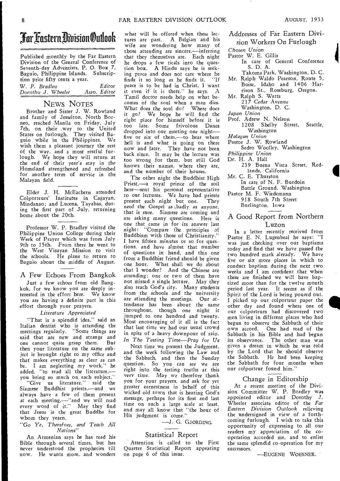# TarliastenOivisianOutioolt

Published monthly by the Far Eastern Division of the General Conference of Seventh-day Adventists, P. 0. Box 7, Baguio, Philippine Islands. Subscription price fifty cents a year.

W. *P. Bradley Editor Dorothu J. Wheeler* 

## NEWS NOTES

Brother and Sister J. W. Rowland and family of Jesselton, North Borneo, reached Manila on Friday, July 7th, on their way to the United States on furlough. They visited Ba-guio while in the Philippines. We wish them a pleasant journey the rest of the way, and a most restful furlough. We hope they will return at the end of their year's stay in the Homeland strengthened and refreshed for another term of service in the Malayan field.

Elder J. H. McEachern attended Colporteurs' Institutes in Cagayan, Mindanao; and Lucena, Tayabas, during the first part of July, returning home about the 20th.

Professor W. P. Bradley visited the Philippine Union College during their Week of Prayer which was from July 9th to 15th. From there he went to the West Visayan Mission to visit the schools. He plans to return to Baguio about the middle of August.

#### A Few Echoes From Bangkok

Just a few echoes from old Bangkok, for we know you are deeply interested in the effort here. We know you *are* having a *definite* part in this effort through your prayers.

#### *Literature Appreciated*

"That is a splendid idea," said an Italian dentist who is attending the meetings regularly. "Some things are said that are new and strange and one cannot quite grasp them. But then your literature on the same subject is brought right to my office and that makes everything as *clear* as can be. I am neglecting my work," he added, "to read all the literature,you bring so much on each subject.'

"Give us literature," said the Siamese Buddhist priests,—and we always have a few of them present at each meeting,—"and we will read every word of it." May they find that Jesus is the great Buddha for whom they yearn.

#### *"Go Ye, Therefore, and Teach All Nations"*

An Armenian says he has read his Bible through several times, but has never understood the prophecies till now. He wants more, and wonders

what will be offered when these lectures are past. A Belgian and his wife are wondering how many of those attending are sincere,--inferring that they themselves are. Each night he drops a few ticals into the question box. A Hindu says he is seeking peace and does not care where he finds it so long as he finds it. "If peace is to be had in Christ, I want it even if it is there," he says. A Tamil doctor needs help on what becomes of the soul when a man dies. What *does* the soul do? Where does it go? We hope he will *find* the right place for himself before it is too late. Some frivolous Danes dropped into our meeting one night five or six of them,--- to hear where hell is and what is going on there now and later. They have not been back since. It may be the lecture was too strong for them, but still God knows their names, where they are, and the number of their houses.

The other night the Buddhist High Priest,—a royal prince of the soil here—sent his personal representative to our lectures. We have had priests present *each* night but one. They *need* the Gospel *as ,.badly* as anyone, that is sure. Siamese are coming and are asking many questions. Here is one that came in for its answer last night: "Compare the principles of Buddhism with those of Christianity." I have fifteen minutes or so for questions, and have almost that number of questions in hand, and this one from a Buddhist friend should be given one hour. What shall we do about that I wonder? And the Chinese are attending; one or two of them have not missed a single lecture. May they also reach God's city. Many students from the schools and the university are attending the meetings. Our attendance has been about the same throughout, though one night it jumped to one hundred and twenty. Most encouraging of it all is the fact that last time we had our usual crowd in spite of a heavy downpour of rain. *In The Testing Time—Pray for Us* 

Next time we present the Judgment, and the week following the Law and the Sabbath, and then the Sunday question. So you *can see we* are right into the *testing* truths at this very time. May we therefore thank you for your prayers, and ask for yet greater earnestness in behalf of this wicked old town that is hearing God's message, perhaps for its first and last time on such a large scale at least, and may all know that "the hour of His judgment is come."

—J. G. GJORDING.

#### Statistical Report

Attention is called to the First Quarter Statistical Report appearing on page 6 of this issue.

Addresses of Far Eastern Division Workers On Furlough

*Chosen* Union

- Pastor W. E. Gillis
	- In care of General Conference S. D. A.
- Takoma Park, Washington, D. C. Mr. Ralph Waldo Pearson, Route 5,
- Boise, Idaho and 1406 Harrison St., Roseburg, Oregon.
- Mr. Ralph S. Watts
	- 217 Cedar Avenue
	- Washington, D. C.
- *Japan Union*
- Prof. Adrew N. Nelson 1208 Shelby Street, Seattle, Washington

*Malayan Union* 

- Pastor J. W. Rowland
- Sedro Woolley, Washington
- *Philippine Union*

Dr. H. A. Hall

- 239 Buena Vista Street, Redlands, California
- Mr. C. E. Thurston
	- In care of N. F. Burdoin Battle Ground, Washington
- Pastor M. F. Wiedemann 918 South 7th Street

Burlington, Iowa

## A Good Report from Northern Luzon

In a letter recently received from Pastor E. N. Lugenbeal he says: "I was just checking over our baptisms today and find that we have passed the two hundred mark already. We have five or six more places *in* which to conduct baptism during the next two weeks and I am confident that when these are finished we will have baptized more than for the twelve month period last year. It seems as if the Spirit of the Lord is being poured out. I picked up our colporteur paper the other day and found where one of our colporteurs had discovered two men living in different places who had begun to observe the Sabbath of their own accord. One had read of the Sabbath in his Bible and had begun its observance. The other man was given a dream in which he was told by the Lord that he should observe<br>the Sabbath. He had been keeping He had been keeping the Sabbath for four months when our colporteur found him.'

#### Change in Editorship

At a recent meeting of the Division Committee W. P. Bradley was appointed editor and Dorothy J. Wheeler associate editor of the *Far Eastern Division Outlook* relieving the undersigned in view of a forthcoming furlough. I wish to take this opportunity of expressing to all our readers my appreciation of the cooperation accorded me, and to enlist the same splendid co-operation for my successors.

—EUGENE WOESNER.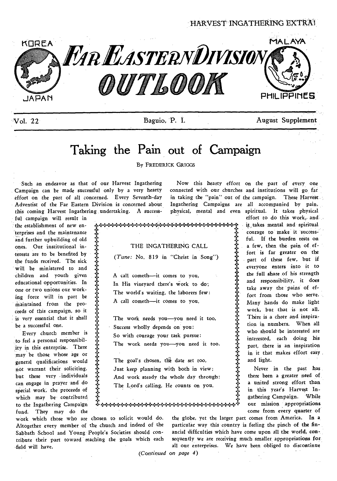HARVEST INGATHERING EXTRAI



'Vol. 22- Baguio, P. I. August Supplement

it takes mental and spiritual courage to make it successful. If the burden rests on a few, then the pain of effort is far greater on the part of these few, but if everyone enters into it to the full share of his strength and responsibility, it does take away the pains of effort from those who serve. Many hands do make light work, but that is not all. There is a cheer and inspiration in numbers. When all who should be interested are interested, each doing his part, there is an inspiration in it that makes effort easy .

Never in the past has there been a greater need of a united strong effort than in this year's Harvest Ingathering Campaign. While our mission appropriations come from every quarter of

 $\sqrt{2}$ 

# **Taking the Pain out of Campaign**

By FREDERICK GRIGGS

+4.4.444-4.4.÷4.444.44t44.4.4.4•4.4.4.+4•4.4.4.4.4.4.444.

Such an endeavor as that of our Harvest Ingathering Campaign can be made successful only by a very hearty effort on the part of all concerned. Every Seventh-day Adventist of the Far Eastern Division is concerned about this coming Harvest Ingathering undertaking. A success-

ful campaign will result in the establishment of new enterprises and the maintenance and further upbuilding of old ones. Our institutional interests are to be benefited by the funds received. The sick will be ministered to and children and youth given educational opportunities. In one or two unions our working force will in part be maintained from the proceeds of this campaign, so it is very essential that it shall be a successful one.

Every church member is to feel a personal responsibility in this enterprise. There may be those whose age or general qualifications would not warrant their soliciting, but these very individuals can engage in prayer and do special work, the proceeds of which may be contributed to the Ingathering Campaign fund. They may do the

Now this hearty effort on the part of every one connected with our churches and institutions will go far in taking the "pain" out of the campaign. These Harvest Ingathering Campaigns are all accompanied by pain, physical, mental and even spiritual. It takes physical effort to do this work, and

 $\ddot{\ddot{\textbf{r}}}$ THE INGATHERING CALL *(Tune:* No. 819 in "Christ in Song") A call cometh—it comes to you, In His vineyard there's Work to do; The world's waiting, the laborers few: A call cometh—it comes to you. The work needs you—you need it too, Success wholly depends on you; So with courage your task pursue: The work needs you—you need it too.

The goal's chosen, the date set too, Just keep planning with both in view; And work steady the whole day through: The Lord's calling, He counts on you.

+++44444-46+4.4.4.4•4•4•444.444.444.4.4.4•4•444444,

work which those who are chosen to solicit would do. Altogether every member of the church and indeed of the Sabbath School and Young People's Societies should contribute their part toward reaching the goals which each field will have.

4.

the globe, yet the larger part comes from America. In a particular way this country is feeling the pinch of the financial difficulties which have come upon all the world, consequently we are receiving much smaller appropriations forall our enterprises. We have been obliged to discontinue

 $\ddot{\ddot{x}}$ 

and light.

*(Continued on page 4)*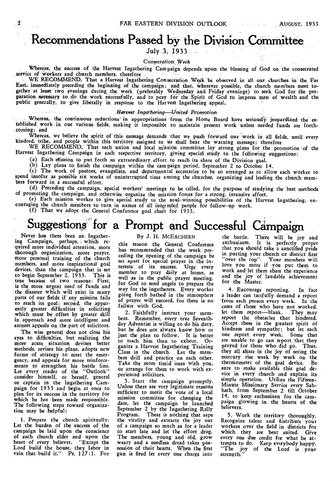# **Recommendations Passed by the Division Committee**

July 3, 1933

#### *Consecration\_ Week*

Whereas, the success of the Harvest Ingathering Cam paign depends upon the blessing of God on the consecrated service of workers and church members, therefore

WE RECOMMEND, That a Harvest Ingathering Consecration Week be observed in all our churches in the Far East,- immediately preceding the beginning of the campaign; and that, wherever possible, the church members meet together at least two evenings during the week (preferably Wednesday and Friday evenings) to seek God for the preparation necessary to do the work successfully, and to pray for the Spirit of God to impress men of wealth and the<br>public generally, to give liberally in response to the Harvest Ingathering appeal,

### *Harvest Ingathering—Un*i*ted Promotion.*

Whereas, the continuous reductions' in appropriations from the Home Board have seriously jeopardized the established work in our various fields, making it impossible to maintain present work unless needed funds are forthcoming; and

Whereas, we believe the spirit of this message demands that we push forward our work in all fields, until every kindred, tribe, and people within this territory assigned to us shall hear the warning message; therefore

WE RECOMMEND, That each union and local mission committee lay strong plans for the promotion of the Harvest Ingathering Campaign in each respective territory, giving special study to the following suggestions:

(a) Each ntission to put forth an extraordinary effort to reach its share of the Division goal.

(b) Lay plans to finish the campaign within the cam paign period, September 2 to October 14.

(c) The work of pastors, evangelists, and departmental secretaries to be so arranged as to allow each worker to spend insofar as possible six weeks of uninterrupted time among the churches, organizing and leading the church members forward in a successful effort.

(d) Preceding the campaign, special workers' meetings to be called, for the purpose of studying the best methods of promoting the campaign, and otherwise organize the mission forces for a strong, intensive effort.

(e) Each mission worker to give special study to the soul-winning possibilities of the Harvest Ingathering, encouraging the church members to turn in names of all interested people for follow-up work.

(f) That we adopt the General Conference goal chart for 1933.

# Suggestions for a Prompt and Successful Campaign

Never has there been an Ingathering Campaign, perhaps, which required more individual attention, more thorough organization, more prayer, more personal training of the church members, and more inspirational goal devices, than the campaign that is set to begin September 2, 1933. This is true because of two reasons: First, is the more urgent need of funds and the disaster which will exist in many parts of our fields if any mission fails to reach its goal; second, the apparently greater difficulties in soliciting which must be offset by greater skill in approach and more intelligent and earnest appeals on the part of solicitors.

The wise general does not close his eyes to difficulties, but realizing the more acute situation devises better methods, revises his plans, adopts new forms of strategy to meet the emergency, and appeals for more reinforcements to strengthen his battle line. Let every reader of the "Outlook" consider himself, or herself, general or captain in the Ingathering Campaign for 1933 and begin at once to plan for its success in the territory for which he has been made responsible. The following steps toward organization may be helpful:

1. Prepare the church spiritually, Let the burden of the success of the campaign be laid upon the conscience of each church elder and upon the heart of every believer. "Except the Lord build the house, they labor in vain that build it." Ps. 127:1. For

## By *J.* H. MCEACHERN

this reason the General Conference has recommended that the week preceding the opening of the campaign be set apart for special prayer in the interests of its success. Urge every member to pray daily at home, as well as in the public prayer meeting, for God to send angels to prepare the way for the ingatherers. Every worker going forth bathed in the atmosphere of prayer will succeed, for there is no failure with God.

2. Faithfully instruct your members. Remember, every, true Seventhday Adventist is willing to do his duty, but he does not always know how or just the plan to follow. It is better to teach him than to exhort. Organize a Harvest Ingathering Training Class in the church. Let the members drill and practice on each other. Take the more timid ones with you, or arrange for them to work with experienced solicitors.

3. Start the campaign promptly. Unless there are very legitimate reasons sufficient to merit the vote of a local mission committee for changing the date, let the campaign be launched September 2 by the Ingathering Rally Program. There is nothing that saps the vitality and extracts the joy out of a campaign so much as for a leader to start late and let the effort drag. The members, young and old, grow weary and a needless dread takes possession of their hearts. When the first gun is fired let every one charge into

the battle. There will be joy and enthusiasm. It is perfectly proper that you should take a sanctified pride in putting your church or district first "over the top". Your members will love you more if you put them to work and ler them share the experienceand the joy of laudable achievement for the Master.

4. Encourage reporting. In fact a leader can tactfully demand a report from each person every week. In the cases of those who have not worked, let them report—blank. They may report the obstacles that hindered. Accept these in the greatest spirit of kindness and sympathy; but let each one report every week. Some that are unable to go can report that they prayed for those who did go. Thus, they all share in the joy of seeing the mercury rise week by week on the thermometer of the goal device. Be sure to make available this goal device in every church and explain its simple operation. Utilize the Fifteen-Minute Missionary Service every Sab-bath, from September 2 till October 14, to keep enthusiasm for the campaign glowing in the hearts of the believers.

5. Work the territory thoroughly. Recognize talent and distribute your workers over the field in districts for which they are best suited. Give every one due credit for what he attempts to do. Keep everybody happy. The joy of the Lord is your strength.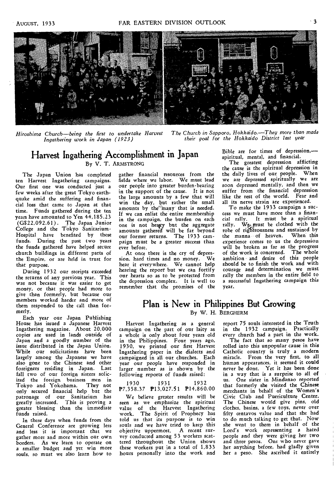

*Hiroshima Church—being the first to undertake Harvest The Church in Sapporo, Hokkaido.—They more than made Ingathering work in Japan (1923) their goal for the Hokkaido District last year* 

# **Harvest Ingathering Accomplishment in Japan**  By V. T. ARMSTRONG

The Japan Union has completed ten Harvest Ingathering campaigns. Our first one was conducted just a few weeks after the great Tokyo earthquake amid the suffering and financial loss that came to Japan at that time. Funds gathered during the ten years have amounted to Yen 44,185.23 (G\$22,092.61). The Japan Junior College and the Tokyo Sanitarium-Hospital have benefited by these funds. During the past two years the funds gathered have helped secure church buildings in different parts of the Empire, or are held in trust for that purpose.

During 1932 our receipts exceeded the returns of any previous year. This was not because it was easier to get money, or that people had more to give than formerly, but because our members worked harder and more of them responded to the call than formerly.

Each year our Japan Publishing House has issued a Japanese Harvest Ingathering magazine. About 20,000 copies are used in lands outside of Japan and a goodly number of the issue distributed in the Japan Union. While our solicitations have been largely among the Japanese we have also gone to the Chinese and other foreigners residing in Japan. Last fall two of our foreign sisters solic-<br>ited the foreign business men in ited the foreign business men in Tokyo and Yokohama. They not only secured financial help but the patronage of our Sanitarium has greatly increased. This is proving a greater blessing than the immediate funds raised.

In these days when funds from the General Conference are growing less and less it is important that we gather more and more within our own borders. As we *learn* to operate on a smaller budget and yet win more souls, so must we also learn how to

gather financial resources from the fields where we labor. We must lead our people into greater burden-bearing in the support of the cause. It is not the large amounts by a few that will win the day, but rather the small amounts by the<sup>3</sup>many that is needed. If we can enlist the entire membership in the campaign, the burden on each one is not heavy but the aggregate amounts gathered will be far beyond our former returns. The 1933 campaign must be a greater success than ever before.

At once there is the cry of depression, hard times and no money. We hear it everywhere. We cannot help hearing the report' but we can fortify our hearts so as to be protected from the depression complex. It is well to remember that the promises of the Bible are for times of depression, spiritual, mental, and financial.

The greatest depression afflicting the cause is the spiritual depression in the daily lives of our people. When we are depressed spiritually we are soon depressed mentally, and then we suffer from the financial depression like the rest of the world. Fear and all its nerve strain are experienced.

To make the 1933 campaign a success we must have more than a financial rally. It must be a spiritual rally. We must be clothed with the robe of righteousness and sustained by the manna of heaven. When this experience comes to us the depression will be broken as far as the progress of the work is concerned. The whole ambition and desire of this people should be to finish the work and with courage and determination we must rally the members in the entire field to a successful Ingathering campaign this year,

# By W. H. BERGHERM **Plan is New in Philippines But Growing**

Harvest Ingathering as a general campaign on the part of our laity as a whole is only about four years old in the Philippines. Four years ago, 1930, we printed our first Harvest Ingathering paper in the dialects and campaigned in all our churches. Each year our people have responded in larger number as is shown by the following reports of funds raised:

#### 1930 1931 1932 P7,358.37 P13,027.51 P14,860.00

We believe greater results will be seen as we emphasize the spiritual value of the Harvest Ingathering work. The Spirit of Prophecy has told us that its purpose is to win souls and we have tried to keep this objective uppermost. A recent survey conducted among 53 workers scattered throughout the Union shows these workers put in a total of 1,833 hours personally into the work and

report 75 souls interested in the Truth in the 1932 campaign. Practically every church had a part in the work.

The fact that so many pesos have rolled into this unpopular cause in this Catholic country is truly a modern miracle. From the very first, to all human appearances, it seemed it could never be done. Yet it has been done in a way that is a surprise to all of us. One sister in Mindanao reported that formerly she visited the Chinese merchants in behalf of the Women's Civic Club and Puericulture Center. The Chinese would give pins, old clothes, basins, a few toys, never over fifty centavos value and that she had to do much talking to get that. Now she went to them in behalf of the Lord's work representing a hated people and they were giving her two and three pesos. One who never gave her anything before, had gladly given her a peso. She ascribed it entirely